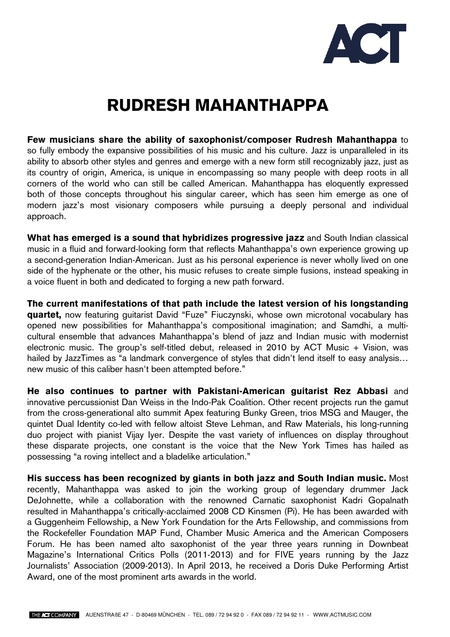

## **RUDRESH MAHANTHAPPA**

**Few musicians share the ability of saxophonist/composer Rudresh Mahanthappa** to so fully embody the expansive possibilities of his music and his culture. Jazz is unparalleled in its ability to absorb other styles and genres and emerge with a new form still recognizably jazz, just as its country of origin, America, is unique in encompassing so many people with deep roots in all corners of the world who can still be called American. Mahanthappa has eloquently expressed both of those concepts throughout his singular career, which has seen him emerge as one of modern jazz's most visionary composers while pursuing a deeply personal and individual approach.

**What has emerged is a sound that hybridizes progressive jazz** and South Indian classical music in a fluid and forward-looking form that reflects Mahanthappa's own experience growing up a second-generation Indian-American. Just as his personal experience is never wholly lived on one side of the hyphenate or the other, his music refuses to create simple fusions, instead speaking in a voice fluent in both and dedicated to forging a new path forward.

**The current manifestations of that path include the latest version of his longstanding quartet,** now featuring guitarist David "Fuze" Fiuczynski, whose own microtonal vocabulary has opened new possibilities for Mahanthappa's compositional imagination; and Samdhi, a multicultural ensemble that advances Mahanthappa's blend of jazz and Indian music with modernist electronic music. The group's self-titled debut, released in 2010 by ACT Music + Vision, was hailed by JazzTimes as "a landmark convergence of styles that didn't lend itself to easy analysis... new music of this caliber hasn't been attempted before."

**He also continues to partner with Pakistani-American guitarist Rez Abbasi** and innovative percussionist Dan Weiss in the Indo-Pak Coalition. Other recent projects run the gamut from the cross-generational alto summit Apex featuring Bunky Green, trios MSG and Mauger, the quintet Dual Identity co-led with fellow altoist Steve Lehman, and Raw Materials, his long-running duo project with pianist Vijay Iyer. Despite the vast variety of influences on display throughout these disparate projects, one constant is the voice that the New York Times has hailed as possessing "a roving intellect and a bladelike articulation."

**His success has been recognized by giants in both jazz and South Indian music.** Most recently, Mahanthappa was asked to join the working group of legendary drummer Jack DeJohnette, while a collaboration with the renowned Carnatic saxophonist Kadri Gopalnath resulted in Mahanthappa's critically-acclaimed 2008 CD Kinsmen (Pi). He has been awarded with a Guggenheim Fellowship, a New York Foundation for the Arts Fellowship, and commissions from the Rockefeller Foundation MAP Fund, Chamber Music America and the American Composers Forum. He has been named alto saxophonist of the year three years running in Downbeat Magazine's International Critics Polls (2011-2013) and for FIVE years running by the Jazz Journalists' Association (2009-2013). In April 2013, he received a Doris Duke Performing Artist Award, one of the most prominent arts awards in the world.